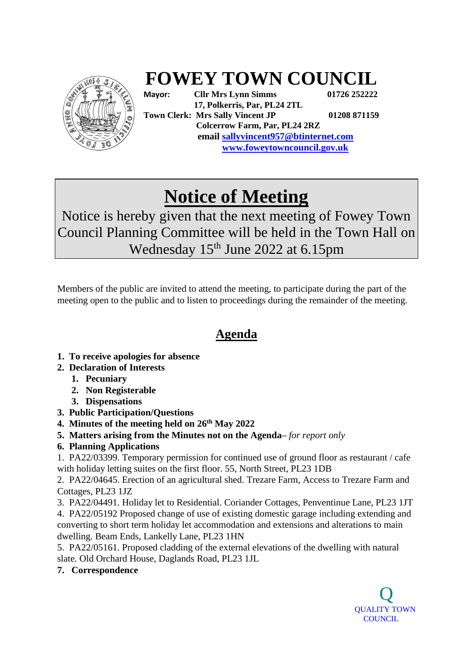

## **FOWEY TOWN COUNCIL**

**Mayor: Cllr Mrs Lynn Simms 01726 252222 17, Polkerris, Par, PL24 2TL Town Clerk: Mrs Sally Vincent JP 01208 871159 Colcerrow Farm, Par, PL24 2RZ email sallyvincent957@btinternet.com www.foweytowncouncil.gov.uk**

## **Notice of Meeting**

Notice is hereby given that the next meeting of Fowey Town Council Planning Committee will be held in the Town Hall on Wednesday 15<sup>th</sup> June 2022 at 6.15pm

Members of the public are invited to attend the meeting, to participate during the part of the meeting open to the public and to listen to proceedings during the remainder of the meeting.

## **Agenda**

- **1. To receive apologies for absence**
- **2. Declaration of Interests**
	- **1. Pecuniary**
	- **2. Non Registerable**
	- **3. Dispensations**
- **3. Public Participation/Questions**
- **4. Minutes of the meeting held on 26 th May 2022**
- **5. Matters arising from the Minutes not on the Agenda–** *for report only*
- **6. Planning Applications**

1. PA22/03399. [Temporary permission for continued use of ground floor as restaurant / cafe](https://planning.cornwall.gov.uk/online-applications/applicationDetails.do?activeTab=summary&keyVal=R9X1ESFGMNR00&prevPage=inTray)  [with holiday letting suites on the first floor.](https://planning.cornwall.gov.uk/online-applications/applicationDetails.do?activeTab=summary&keyVal=R9X1ESFGMNR00&prevPage=inTray) 55, North Street, PL23 1DB

2. PA22/04645. [Erection of an agricultural shed.](https://planning.cornwall.gov.uk/online-applications/applicationDetails.do?activeTab=summary&keyVal=RC19X3FGMH100&prevPage=inTray) Trezare Farm, Access to Trezare Farm and Cottages, PL23 1JZ

3. PA22/04491. [Holiday let to Residential.](https://planning.cornwall.gov.uk/online-applications/applicationDetails.do?activeTab=summary&keyVal=RBRBFLFGFS200&prevPage=inTray) Coriander Cottages, Penventinue Lane, PL23 1JT 4. PA22/05192 [Proposed change of use of existing domestic garage including extending and](https://planning.cornwall.gov.uk/online-applications/applicationDetails.do?activeTab=summary&keyVal=RCT1YUFGGRP00&prevPage=inTray)  [converting to short term holiday let accommodation and extensions and alterations to main](https://planning.cornwall.gov.uk/online-applications/applicationDetails.do?activeTab=summary&keyVal=RCT1YUFGGRP00&prevPage=inTray)  [dwelling.](https://planning.cornwall.gov.uk/online-applications/applicationDetails.do?activeTab=summary&keyVal=RCT1YUFGGRP00&prevPage=inTray) Beam Ends, Lankelly Lane, PL23 1HN

5. PA22/05161. [Proposed cladding of the external elevations of the dwelling with natural](https://planning.cornwall.gov.uk/online-applications/applicationDetails.do?activeTab=summary&keyVal=RCSNYVFGGG500&prevPage=inTray)  [slate.](https://planning.cornwall.gov.uk/online-applications/applicationDetails.do?activeTab=summary&keyVal=RCSNYVFGGG500&prevPage=inTray) Old Orchard House, Daglands Road, PL23 1JL

**7. Correspondence**